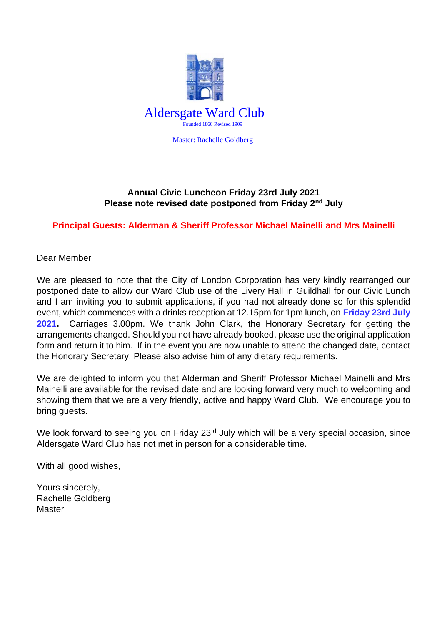

Master: Rachelle Goldberg

## **Annual Civic Luncheon Friday 23rd July 2021 Please note revised date postponed from Friday 2nd July**

## **Principal Guests: Alderman & Sheriff Professor Michael Mainelli and Mrs Mainelli**

Dear Member

We are pleased to note that the City of London Corporation has very kindly rearranged our postponed date to allow our Ward Club use of the Livery Hall in Guildhall for our Civic Lunch and I am inviting you to submit applications, if you had not already done so for this splendid event, which commences with a drinks reception at 12.15pm for 1pm lunch, on **Friday 23rd July 2021.** Carriages 3.00pm. We thank John Clark, the Honorary Secretary for getting the arrangements changed. Should you not have already booked, please use the original application form and return it to him. If in the event you are now unable to attend the changed date, contact the Honorary Secretary. Please also advise him of any dietary requirements.

We are delighted to inform you that Alderman and Sheriff Professor Michael Mainelli and Mrs Mainelli are available for the revised date and are looking forward very much to welcoming and showing them that we are a very friendly, active and happy Ward Club. We encourage you to bring guests.

We look forward to seeing you on Friday 23<sup>rd</sup> July which will be a very special occasion, since Aldersgate Ward Club has not met in person for a considerable time.

With all good wishes,

Yours sincerely, Rachelle Goldberg Master